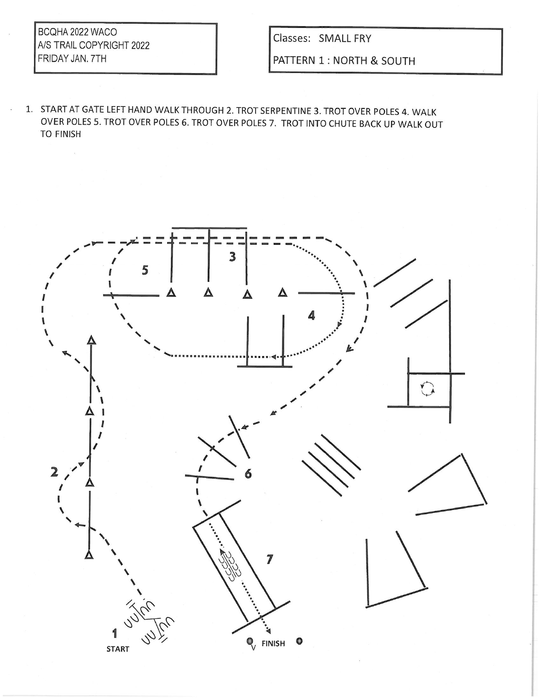BCQHA 2022 WACO A/S TRAIL COPYRIGHT 2022 FRIDAY JAN. 7TH

÷,

Classes: SMALL FRY

PATTERN 1 : NORTH & SOUTH

1. START AT GATE LEFT HAND WALK THROUGH 2. TROT SERPENTINE 3. TROT OVER POLES 4. WALK OVER POLES 5. TROT OVER POLES 6. TROT OVER POLES 7. TROT INTO CHUTE BACK UP WALK OUT **TO FINISH** 

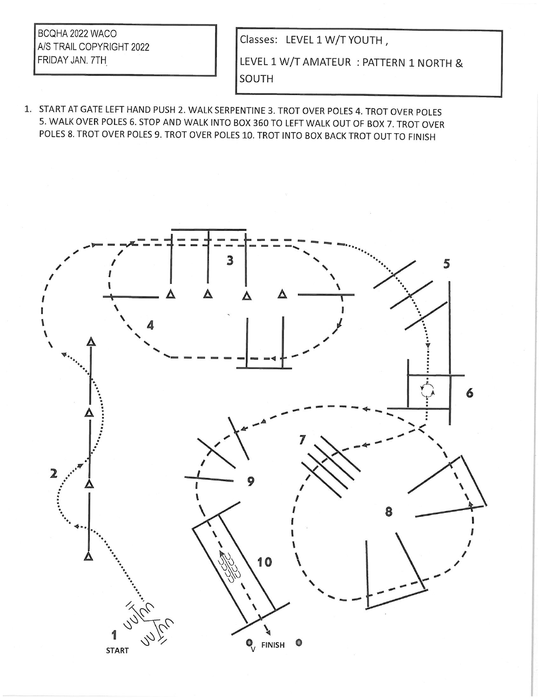BCQHA 2022 WACO A/S TRAIL COPYRIGHT 2022 FRIDAY JAN. 7TH

Classes: LEVEL 1 W/T YOUTH,

LEVEL 1 W/T AMATEUR : PATTERN 1 NORTH & SOUTH

1. START AT GATE LEFT HAND PUSH 2. WALK SERPENTINE 3. TROT OVER POLES 4. TROT OVER POLES 5. WALK OVER POLES 6. STOP AND WALK INTO BOX 360 TO LEFT WALK OUT OF BOX 7. TROT OVER POLES 8. TROT OVER POLES 9. TROT OVER POLES 10. TROT INTO BOX BACK TROT OUT TO FINISH

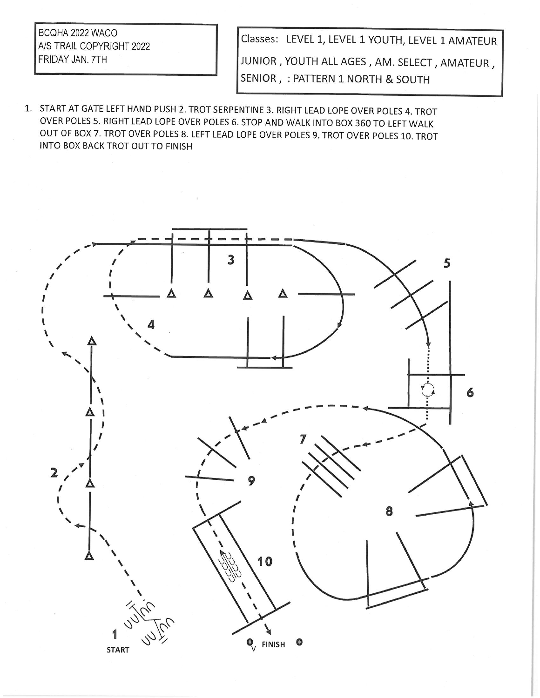BCQHA 2022 WACO A/S TRAIL COPYRIGHT 2022 FRIDAY JAN. 7TH

Classes: LEVEL 1, LEVEL 1 YOUTH, LEVEL 1 AMATEUR JUNIOR, YOUTH ALL AGES, AM. SELECT, AMATEUR, SENIOR, : PATTERN 1 NORTH & SOUTH

1. START AT GATE LEFT HAND PUSH 2. TROT SERPENTINE 3. RIGHT LEAD LOPE OVER POLES 4. TROT OVER POLES 5. RIGHT LEAD LOPE OVER POLES 6. STOP AND WALK INTO BOX 360 TO LEFT WALK OUT OF BOX 7. TROT OVER POLES 8. LEFT LEAD LOPE OVER POLES 9. TROT OVER POLES 10. TROT INTO BOX BACK TROT OUT TO FINISH

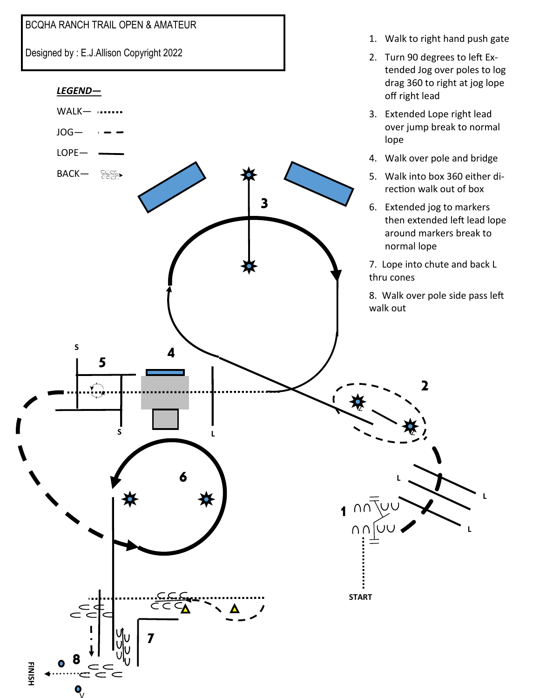

Designed by : E.J.Allison Copyright 2022



1. Walk to right hand push gate

**L**

2. Turn 90 degrees to left Ex-

V